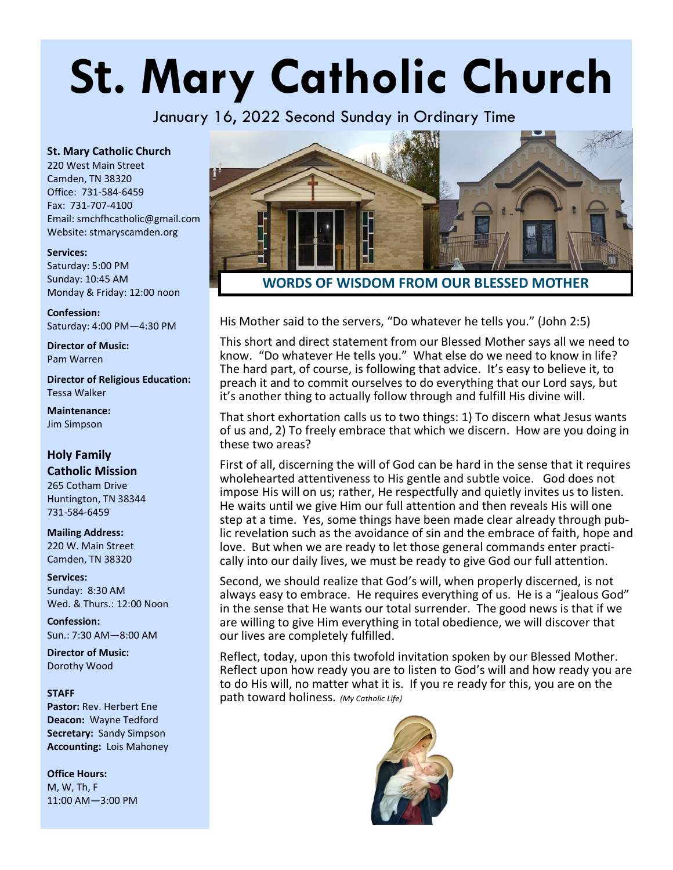# **St. Mary Catholic Church**

January 16, 2022 Second Sunday in Ordinary Time

#### **St. Mary Catholic Church**

220 West Main Street Camden, TN 38320 Office: 731-584-6459 Fax: 731-707-4100 Email: smchfhcatholic@gmail.com Website: stmaryscamden.org

#### **Services:**

Saturday: 5:00 PM Sunday: 10:45 AM Monday & Friday: 12:00 noon

**Confession:** Saturday: 4:00 PM—4:30 PM

**Director of Music:** Pam Warren

**Director of Religious Education:** Tessa Walker

**Maintenance:**  Jim Simpson

#### **Holy Family Catholic Mission**

265 Cotham Drive Huntington, TN 38344 731-584-6459

#### **Mailing Address:** 220 W. Main Street Camden, TN 38320

**Services:** Sunday: 8:30 AM Wed. & Thurs.: 12:00 Noon

**Confession:** Sun.: 7:30 AM—8:00 AM

**Director of Music:** Dorothy Wood

#### **STAFF**

Pastor: Rev. Herbert Ene **Deacon:** Wayne Tedford **Secretary:** Sandy Simpson **Accounting:** Lois Mahoney

**Office Hours:**  M, W, Th, F 11:00 AM—3:00 PM



His Mother said to the servers, "Do whatever he tells you." (John 2:5)

This short and direct statement from our Blessed Mother says all we need to know. "Do whatever He tells you." What else do we need to know in life? The hard part, of course, is following that advice. It's easy to believe it, to preach it and to commit ourselves to do everything that our Lord says, but it's another thing to actually follow through and fulfill His divine will.

That short exhortation calls us to two things: 1) To discern what Jesus wants of us and, 2) To freely embrace that which we discern. How are you doing in these two areas?

First of all, discerning the will of God can be hard in the sense that it requires wholehearted attentiveness to His gentle and subtle voice. God does not impose His will on us; rather, He respectfully and quietly invites us to listen. He waits until we give Him our full attention and then reveals His will one step at a time. Yes, some things have been made clear already through public revelation such as the avoidance of sin and the embrace of faith, hope and love. But when we are ready to let those general commands enter practically into our daily lives, we must be ready to give God our full attention.

Second, we should realize that God's will, when properly discerned, is not always easy to embrace. He requires everything of us. He is a "jealous God" in the sense that He wants our total surrender. The good news is that if we are willing to give Him everything in total obedience, we will discover that our lives are completely fulfilled.

Reflect, today, upon this twofold invitation spoken by our Blessed Mother. Reflect upon how ready you are to listen to God's will and how ready you are to do His will, no matter what it is. If you re ready for this, you are on the path toward holiness. *(My Catholic Life)*

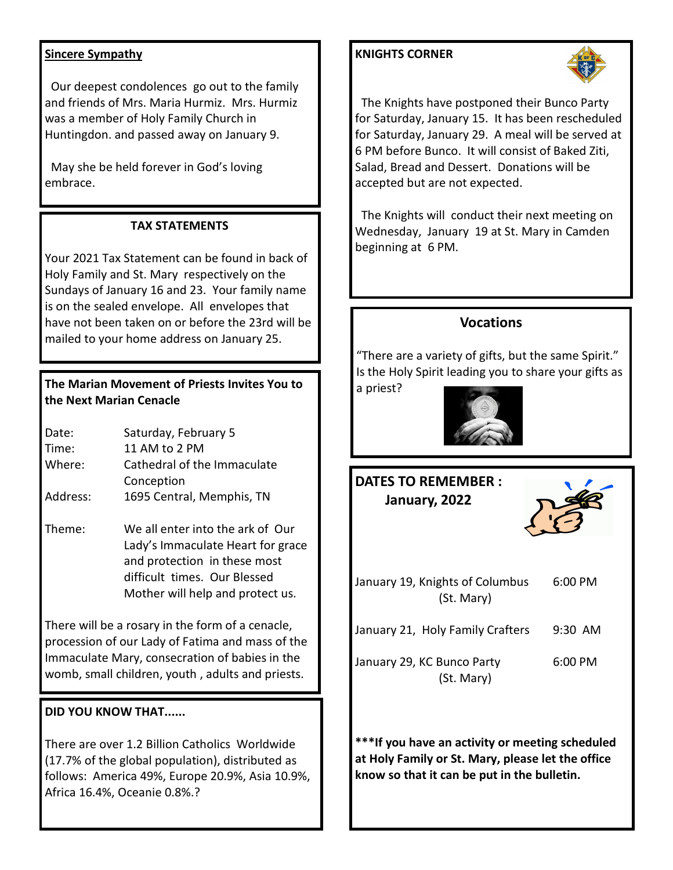### **Sincere Sympathy**

 Our deepest condolences go out to the family and friends of Mrs. Maria Hurmiz. Mrs. Hurmiz was a member of Holy Family Church in Huntingdon. and passed away on January 9.

 May she be held forever in God's loving embrace.

# **TAX STATEMENTS**

Your 2021 Tax Statement can be found in back of Holy Family and St. Mary respectively on the Sundays of January 16 and 23. Your family name is on the sealed envelope. All envelopes that have not been taken on or before the 23rd will be mailed to your home address on January 25.

# **The Marian Movement of Priests Invites You to the Next Marian Cenacle**

| Date:    | Saturday, February 5        |  |  |
|----------|-----------------------------|--|--|
| Time:    | 11 AM to 2 PM               |  |  |
| Where:   | Cathedral of the Immaculate |  |  |
|          | Conception                  |  |  |
| Address: | 1695 Central, Memphis, TN   |  |  |

Theme: We all enter into the ark of Our Lady's Immaculate Heart for grace and protection in these most difficult times. Our Blessed Mother will help and protect us.

There will be a rosary in the form of a cenacle, procession of our Lady of Fatima and mass of the Immaculate Mary, consecration of babies in the womb, small children, youth , adults and priests.

### **DID YOU KNOW THAT......**

There are over 1.2 Billion Catholics Worldwide (17.7% of the global population), distributed as follows: America 49%, Europe 20.9%, Asia 10.9%, Africa 16.4%, Oceanie 0.8%.?

# **KNIGHTS CORNER**



 The Knights have postponed their Bunco Party for Saturday, January 15. It has been rescheduled for Saturday, January 29. A meal will be served at 6 PM before Bunco. It will consist of Baked Ziti, Salad, Bread and Dessert. Donations will be accepted but are not expected.

 The Knights will conduct their next meeting on Wednesday, January 19 at St. Mary in Camden beginning at 6 PM.

# **Vocations**

"There are a variety of gifts, but the same Spirit." Is the Holy Spirit leading you to share your gifts as a priest?

# **DATES TO REMEMBER : January, 2022**

| January 19, Knights of Columbus<br>(St. Mary) | $6:00 \text{ PM}$ |
|-----------------------------------------------|-------------------|
| January 21, Holy Family Crafters              | $9:30$ AM         |
| January 29, KC Bunco Party<br>(St. Mary)      | $6:00$ PM         |

**\*\*\*If you have an activity or meeting scheduled at Holy Family or St. Mary, please let the office know so that it can be put in the bulletin.**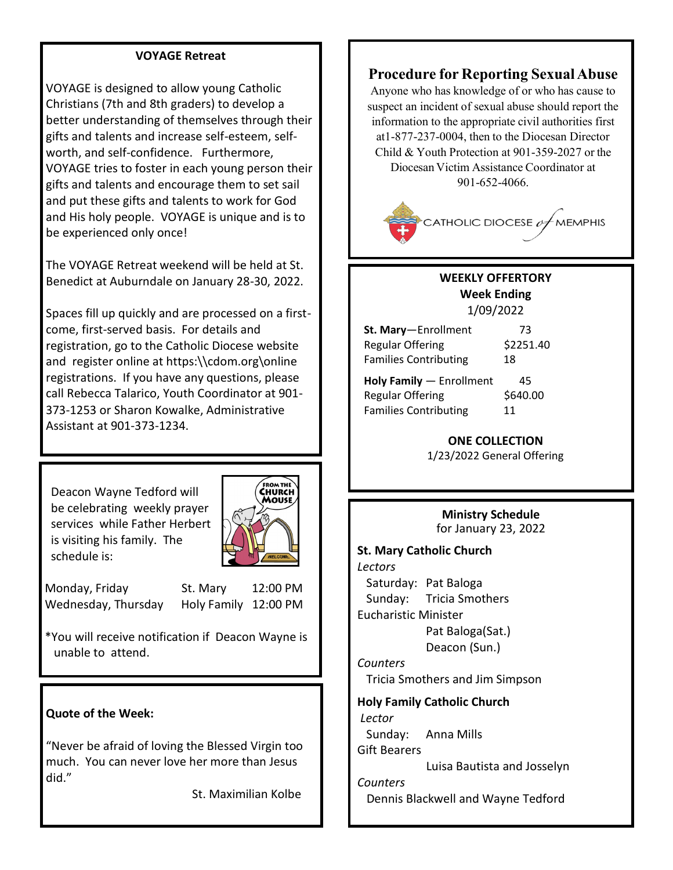#### **VOYAGE Retreat**

VOYAGE is designed to allow young Catholic Christians (7th and 8th graders) to develop a better understanding of themselves through their gifts and talents and increase self-esteem, selfworth, and self-confidence. Furthermore, VOYAGE tries to foster in each young person their gifts and talents and encourage them to set sail and put these gifts and talents to work for God and His holy people. VOYAGE is unique and is to be experienced only once!

The VOYAGE Retreat weekend will be held at St. Benedict at Auburndale on January 28-30, 2022.

Spaces fill up quickly and are processed on a firstcome, first-served basis. For details and registration, go to the Catholic Diocese website and register online at https:\\cdom.org\online registrations. If you have any questions, please call Rebecca Talarico, Youth Coordinator at 901- 373-1253 or Sharon Kowalke, Administrative Assistant at 901-373-1234.

 Deacon Wayne Tedford will be celebrating weekly prayer services while Father Herbert is visiting his family. The schedule is:



Monday, Friday St. Mary 12:00 PM Wednesday, Thursday Holy Family 12:00 PM

\*You will receive notification if Deacon Wayne is unable to attend.

#### **Quote of the Week:**

"Never be afraid of loving the Blessed Virgin too much. You can never love her more than Jesus did."

St. Maximilian Kolbe

# **Procedure for Reporting SexualAbuse**

Anyone who has knowledge of or who has cause to suspect an incident of sexual abuse should report the information to the appropriate civil authorities first at1-877-237-0004, then to the Diocesan Director Child & Youth Protection at 901-359-2027 or the Diocesan Victim Assistance Coordinator at 901-652-4066.



#### **WEEKLY OFFERTORY Week Ending**  1/09/2022

**St. Mary**—Enrollment 73 Regular Offering \$2251.40 Families Contributing 18

**Holy Family — Enrollment 45** Regular Offering \$640.00 Families Contributing 11

#### **ONE COLLECTION**

1/23/2022 General Offering

**Ministry Schedule** for January 23, 2022

**St. Mary Catholic Church** *Lectors* Saturday: Pat Baloga Sunday: Tricia Smothers Eucharistic Minister Pat Baloga(Sat.) Deacon (Sun.) *Counters* Tricia Smothers and Jim Simpson **Holy Family Catholic Church** *Lector* Sunday: Anna Mills Gift Bearers Luisa Bautista and Josselyn *Counters* Dennis Blackwell and Wayne Tedford